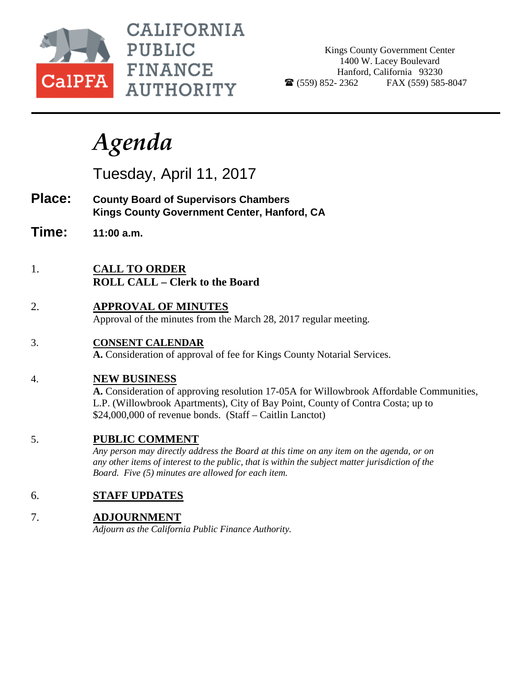

CALIFORNIA **PUBLIC FINANCE AUTHORITY** 

Kings County Government Center 1400 W. Lacey Boulevard Hanford, California 93230  $\bullet$  (559) 852-2362 FAX (559) 585-8047

# *Agenda*

Tuesday, April 11, 2017

- **Place: County Board of Supervisors Chambers Kings County Government Center, Hanford, CA**
- **Time: 11:00 a.m.**
- 1. **CALL TO ORDER ROLL CALL – Clerk to the Board**
- 2. **APPROVAL OF MINUTES** Approval of the minutes from the March 28, 2017 regular meeting.
- 3. **CONSENT CALENDAR**

**A.** Consideration of approval of fee for Kings County Notarial Services.

## 4. **NEW BUSINESS**

**A.** Consideration of approving resolution 17-05A for Willowbrook Affordable Communities, L.P. (Willowbrook Apartments), City of Bay Point, County of Contra Costa; up to \$24,000,000 of revenue bonds. (Staff – Caitlin Lanctot)

## 5. **PUBLIC COMMENT**

*Any person may directly address the Board at this time on any item on the agenda, or on any other items of interest to the public, that is within the subject matter jurisdiction of the Board. Five (5) minutes are allowed for each item.*

## 6. **STAFF UPDATES**

## 7. **ADJOURNMENT**

*Adjourn as the California Public Finance Authority.*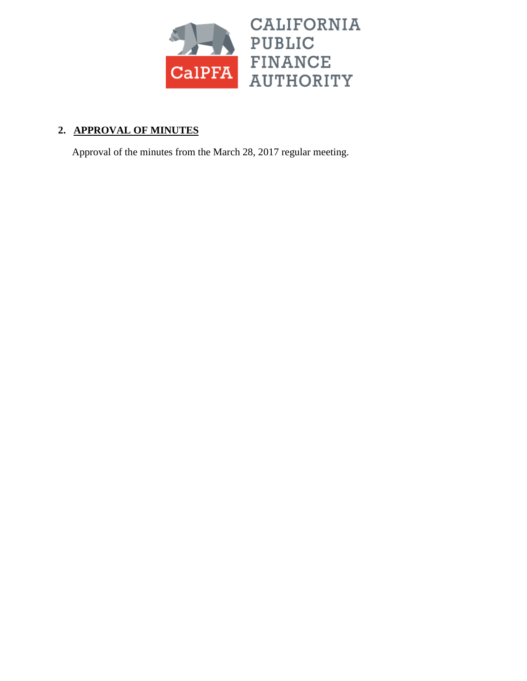

## **2. APPROVAL OF MINUTES**

Approval of the minutes from the March 28, 2017 regular meeting.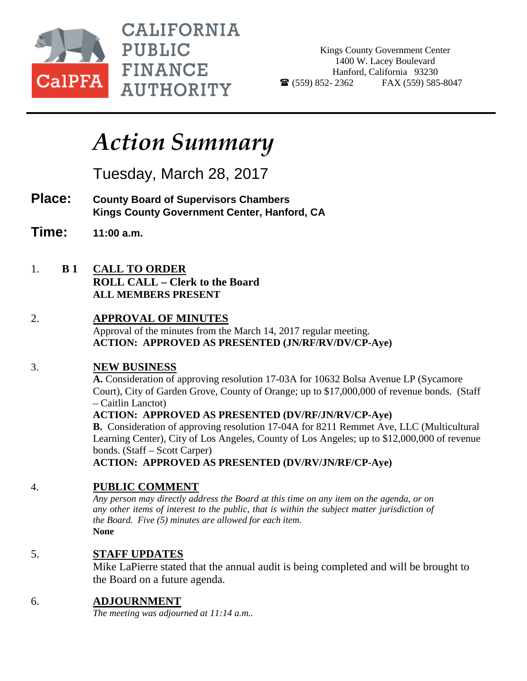

**CALIFORNIA PUBLIC FINANCE AUTHORITY** 

Kings County Government Center 1400 W. Lacey Boulevard Hanford, California 93230  $\bullet$  (559) 852-2362 FAX (559) 585-8047

## *Action Summary*

Tuesday, March 28, 2017

- **Place: County Board of Supervisors Chambers Kings County Government Center, Hanford, CA**
- **Time: 11:00 a.m.**
- 1. **B 1 CALL TO ORDER ROLL CALL – Clerk to the Board ALL MEMBERS PRESENT**

#### 2. **APPROVAL OF MINUTES** Approval of the minutes from the March 14, 2017 regular meeting. **ACTION: APPROVED AS PRESENTED (JN/RF/RV/DV/CP-Aye)**

## 3. **NEW BUSINESS**

**A.** Consideration of approving resolution 17-03A for 10632 Bolsa Avenue LP (Sycamore Court), City of Garden Grove, County of Orange; up to \$17,000,000 of revenue bonds. (Staff – Caitlin Lanctot)

**ACTION: APPROVED AS PRESENTED (DV/RF/JN/RV/CP-Aye)**

**B.** Consideration of approving resolution 17-04A for 8211 Remmet Ave, LLC (Multicultural Learning Center), City of Los Angeles, County of Los Angeles; up to \$12,000,000 of revenue bonds. (Staff – Scott Carper)

**ACTION: APPROVED AS PRESENTED (DV/RV/JN/RF/CP-Aye)**

## 4. **PUBLIC COMMENT**

*Any person may directly address the Board at this time on any item on the agenda, or on any other items of interest to the public, that is within the subject matter jurisdiction of the Board. Five (5) minutes are allowed for each item.* **None**

## 5. **STAFF UPDATES**

Mike LaPierre stated that the annual audit is being completed and will be brought to the Board on a future agenda.

## 6. **ADJOURNMENT**

*The meeting was adjourned at 11:14 a.m..*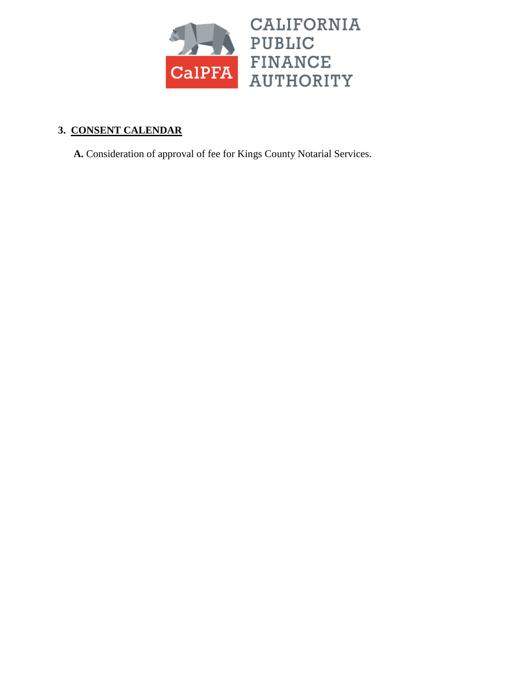

## **3. CONSENT CALENDAR**

**A.** Consideration of approval of fee for Kings County Notarial Services.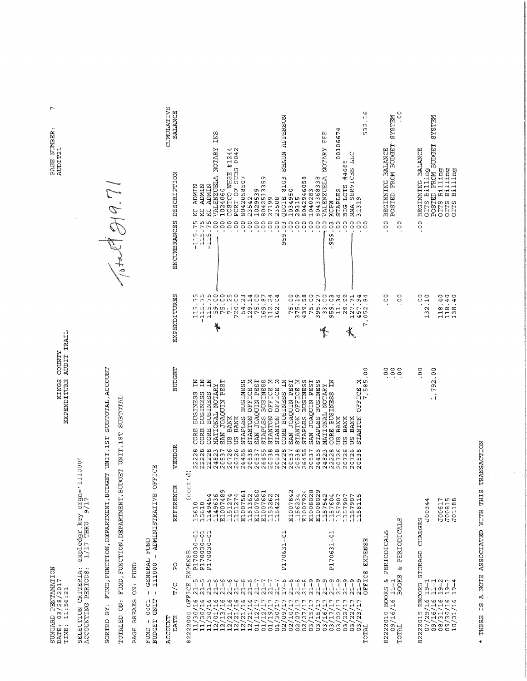PAGE NUMBER:<br>AUDITZ1

 $\overline{r}$ 

SUNGARD PENTAMATION<br>DATE: 03/28/2017<br>TIME: 11:56:21

KINGS COUNTY<br>EXPENDITURE AUDIT TRAIL

 $\frac{1}{1/17}$  THRU  $\frac{5}{17}$  THRU  $\frac{1}{17}$ SELECTION CRITERIA:<br>ACCOUNTING PERIODS: SORTED BY: FUND, FUNCTION, DEPARTMENT, BUDGET UNIT, 1ST SUBTOTAL, ACCOUNT

 $\sqrt{det(1-\rho)}$ 

TOTALED ON: FUND, FUNCTION, DEPARTMENT, BUDGET UNIT, IST SUBTOTAL

PAGE BREAKS ON: FUND

FUND - 0001 - GENERAL FUND<br>BUDGET UNIT - 111000 - ADMINISTRATIVE OFFICE

CUMULATIVE<br>BALANCE

 $-115.75$  KC ADMIN<br>115.75 KC ADMIN<br> $-115.75$  KC ADMIN<br> $-115.75$  KC ADMIN<br> $-$  .00 VALENZUELA NOTARY INS

| 5<br>ENCUMBRANCES DESCRIPTION<br><b>EXPENDITURES</b><br><b>BUDGET</b> | SHAUN AI<br>Ħ<br>00106<br>VALENZUELA NOTARY<br>VALENZUELA NOTARY<br>COSTCO WHSE #1244<br>PORT OF SUBS 0042<br>SERVICES LLC<br>BIG LOTS #4665<br>8103<br>8042513359<br>8042946058<br>8043368338<br>8042058507<br>NINCK<br>NIMIN<br>KC ADMIN<br>1029539<br>1034950<br>1040283<br>STAPLES<br>1024060<br>QUOTE<br>23542<br>27199<br>23508<br>29315<br>31319<br>KCPW<br><b>NNA</b><br>ប្ដ<br>Ř<br>$\frac{0}{0}$<br>$-115.75$<br>$\frac{1}{2}$<br>959.03<br>$\frac{0}{2}$<br>00<br>00<br>$\overline{00}$<br>$\frac{0}{r}$<br>00<br>115.75<br>$-115.75$<br>00<br>00<br>00<br>00.<br>°°<br>°C<br>OO.<br>°C.<br>°o.<br>$-959.03$<br>°o<br>$\frac{1}{2}$<br>oo.<br>$\frac{0}{2}$<br>59.00<br>75.00<br>115.75<br>-115.75<br>115.75<br>71.25<br>720.00<br>54.23<br>129.14<br>75.00<br>375.19<br>439.58<br>75.00<br>395.27<br>33.00<br>959.03<br>29.99<br>169.87<br>112.24<br>162.04<br>75.00<br>11.34<br>127.71<br>457.94<br>052.8<br>7,<br>°o<br>7,585<br>STAPLES BUSINESS<br>STANTON OFFICE M<br>SAN JOAQUIN PEST<br><b>N EDIERD</b><br>Σ<br>Ă<br>SAN JOAQUIN PEST<br>STAPLES BUSINESS<br>SAN JOAQUIN PEST<br>Ă<br>Ħ<br>Ã<br>STAPLES BUSINESS<br>STANTON OFFICE M<br>STAPLES BUSINESS<br>N<br>N<br>PFTCE<br>N<br>SAN JOAQUIN PEST<br><b>NATIONAL NOTARY</b><br>NATIONAL NOTARY<br>STANTON OFFICE<br><b>BUSINESS</b><br><b>BUSINESS</b><br><b>BUSINESS</b><br><b>BUSINESS</b><br><b>BUSINESS</b><br>STANTON<br><b>STANTON</b><br>US BANK<br><b>BANK</b><br>US BANK<br>BANK<br><b>BANK</b><br>CORE<br>CORE<br>CORE<br>CORE<br>CORE<br>g<br>D<br>g<br>D | POSTED FROM BUDGET<br>BEGINNING BALANCE<br>$\frac{1}{2}$<br>00<br>00<br>00<br>e e e<br>S |
|-----------------------------------------------------------------------|--------------------------------------------------------------------------------------------------------------------------------------------------------------------------------------------------------------------------------------------------------------------------------------------------------------------------------------------------------------------------------------------------------------------------------------------------------------------------------------------------------------------------------------------------------------------------------------------------------------------------------------------------------------------------------------------------------------------------------------------------------------------------------------------------------------------------------------------------------------------------------------------------------------------------------------------------------------------------------------------------------------------------------------------------------------------------------------------------------------------------------------------------------------------------------------------------------------------------------------------------------------------------------------------------------------------------------------------------------------------------------------------------------------------------------------------------------------------------------------------------------------------------------------------|------------------------------------------------------------------------------------------|
| VENDOR                                                                | 20726<br>20726<br>26455<br>22228<br>22228<br>22228<br>20537<br>20538<br>20537<br>2645<br>20538<br>20538<br>2022<br>20537<br>2020223<br>2020222<br>202022<br>22228<br>20726<br>20726<br>20726<br>24823<br>0538                                                                                                                                                                                                                                                                                                                                                                                                                                                                                                                                                                                                                                                                                                                                                                                                                                                                                                                                                                                                                                                                                                                                                                                                                                                                                                                              |                                                                                          |
| REFERENCE                                                             | (cont'd)<br>E1008029<br>E1007489<br>E1007660<br>E1007924<br>E1008028<br>E1007842<br>E1007561<br>E1007661<br>1151274<br>1151274<br>1151362<br>1156234<br>1149454<br>1149636<br>1153262<br>1157604<br>1154212<br>1157542<br>1157907<br>1157907<br>158115<br>1157907<br>15610<br>15610                                                                                                                                                                                                                                                                                                                                                                                                                                                                                                                                                                                                                                                                                                                                                                                                                                                                                                                                                                                                                                                                                                                                                                                                                                                        | STR                                                                                      |
| Q<br>A                                                                | P170030-01<br>P170030-01<br>P170030-01<br>P170030-01<br>P170631-01<br>P170631-01<br>EXPENSE                                                                                                                                                                                                                                                                                                                                                                                                                                                                                                                                                                                                                                                                                                                                                                                                                                                                                                                                                                                                                                                                                                                                                                                                                                                                                                                                                                                                                                                | & PERIODIC<br>PERIODICALS                                                                |
| T/C                                                                   | OFFICE EXPENSE<br>CFFICE<br>$21 - 5$<br>$17 - 8$<br>$21 - 8$<br>$21 - 8$<br>$21 - 8$<br>$21 - 9$<br>$2 - 5$<br>$21 - 9$<br>$21 - 9$<br>$21 - 9$<br>$21 - 9$<br>$21 - 9$<br>$21 - 5$<br>$\frac{6}{11}$<br>$21 - 7$<br>$1 - 9$<br>$21 - 5$<br>9<br>1<br>1<br>$\frac{6}{11}$<br>$21 - 7$<br>$\frac{1}{2}$<br>$\frac{6}{1}$<br>0<br>ا<br>1<br>$21 - 7$<br>$-1 - 7$<br>16<br>$\frac{9}{5}$<br>ى<br>5.<br>9 L<br>ЭL,<br>$\frac{9}{1}$<br>16<br>91,<br>77<br>ГT,<br>ГĽ,<br>ГI,<br>LI,<br>ГI,<br>$\mathbf{\mathbf{I}}$                                                                                                                                                                                                                                                                                                                                                                                                                                                                                                                                                                                                                                                                                                                                                                                                                                                                                                                                                                                                                             | <b>BOOKS</b><br>2222010 BOOKS &<br>$\frac{09}{16}$ /16/16<br>TOTAL                       |
| DATE<br>ACCOUNT                                                       | 11/30/16<br>82222000<br>$-1/30/$<br>02/10/<br>02/27/<br>02/27/<br>03/15/<br>11/30/<br>12/13<br>01/12/<br>01/19<br>01/30/<br>02/09/<br>03/15/<br>03/16/<br>03/17/<br>03/22/<br>03/22/<br>12/01<br>12/21<br>01/12<br>03/22<br>12/21<br>12/21<br>12/21<br>03/23<br>TOTAL                                                                                                                                                                                                                                                                                                                                                                                                                                                                                                                                                                                                                                                                                                                                                                                                                                                                                                                                                                                                                                                                                                                                                                                                                                                                      | ∞                                                                                        |

\* THERE IS A NOTE ASSOCIATED WITH THIS TRANSACTION

.00 BRGINNING BALANCE<br>OITS Billing<br>POSTED FROM BUDGET SYSTEM<br>OITS Billing<br>OITS Billing<br>OITS Billing

 $132.10$ 

 $\frac{0}{2}$ 

1,792.00

J00617<br>J00815<br>J01188

82222015 RECORD STORAGE CHARGES<br>07/16/16 19-1<br>09/16/16 11-1<br>08/30/16 11-1<br>08/30/16 19-2<br>07/10/31/16 19-4

J00344

118.40<br>118.40<br>138.40

 $\overline{00}$ 

.00 BEGINNING BALANCE<br>POSTED FROM BUDGET SYSTEM

532.16

00106674

-00 VALENZUELA NOTARY FEE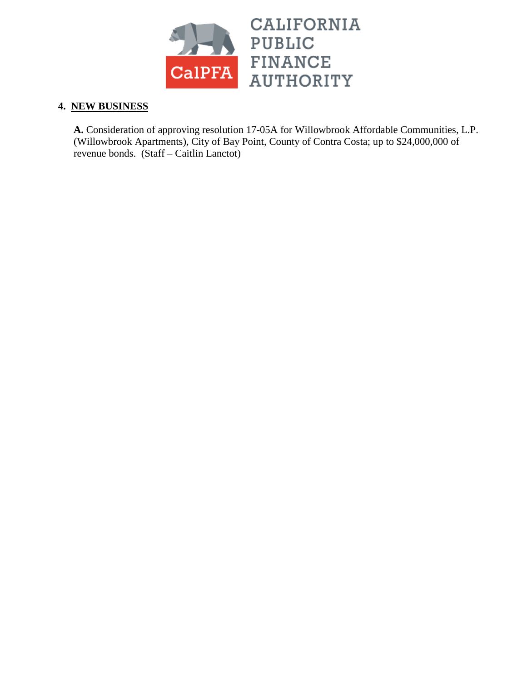

#### **4. NEW BUSINESS**

**A.** Consideration of approving resolution 17-05A for Willowbrook Affordable Communities, L.P. (Willowbrook Apartments), City of Bay Point, County of Contra Costa; up to \$24,000,000 of revenue bonds. (Staff – Caitlin Lanctot)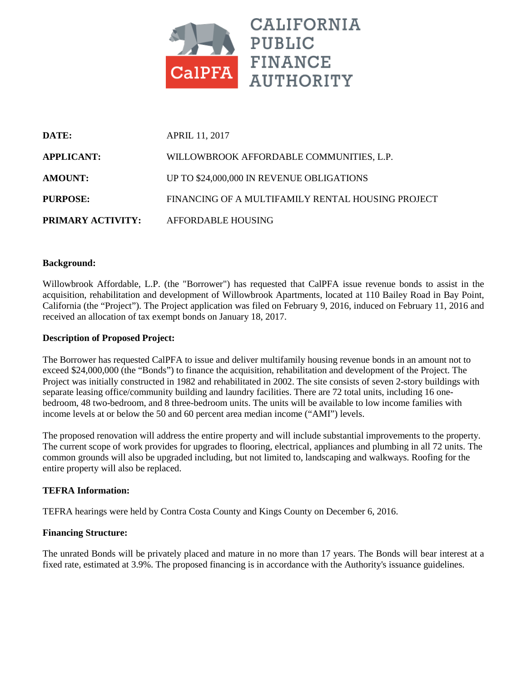

| DATE:                    | <b>APRIL 11, 2017</b>                             |
|--------------------------|---------------------------------------------------|
| <b>APPLICANT:</b>        | WILLOWBROOK AFFORDABLE COMMUNITIES, L.P.          |
| <b>AMOUNT:</b>           | UP TO \$24,000,000 IN REVENUE OBLIGATIONS         |
| PURPOSE:                 | FINANCING OF A MULTIFAMILY RENTAL HOUSING PROJECT |
| <b>PRIMARY ACTIVITY:</b> | AFFORDABLE HOUSING                                |

#### **Background:**

Willowbrook Affordable, L.P. (the "Borrower") has requested that CalPFA issue revenue bonds to assist in the acquisition, rehabilitation and development of Willowbrook Apartments, located at 110 Bailey Road in Bay Point, California (the "Project"). The Project application was filed on February 9, 2016, induced on February 11, 2016 and received an allocation of tax exempt bonds on January 18, 2017.

#### **Description of Proposed Project:**

The Borrower has requested CalPFA to issue and deliver multifamily housing revenue bonds in an amount not to exceed \$24,000,000 (the "Bonds") to finance the acquisition, rehabilitation and development of the Project. The Project was initially constructed in 1982 and rehabilitated in 2002. The site consists of seven 2-story buildings with separate leasing office/community building and laundry facilities. There are 72 total units, including 16 onebedroom, 48 two-bedroom, and 8 three-bedroom units. The units will be available to low income families with income levels at or below the 50 and 60 percent area median income ("AMI") levels.

The proposed renovation will address the entire property and will include substantial improvements to the property. The current scope of work provides for upgrades to flooring, electrical, appliances and plumbing in all 72 units. The common grounds will also be upgraded including, but not limited to, landscaping and walkways. Roofing for the entire property will also be replaced.

#### **TEFRA Information:**

TEFRA hearings were held by Contra Costa County and Kings County on December 6, 2016.

#### **Financing Structure:**

The unrated Bonds will be privately placed and mature in no more than 17 years. The Bonds will bear interest at a fixed rate, estimated at 3.9%. The proposed financing is in accordance with the Authority's issuance guidelines.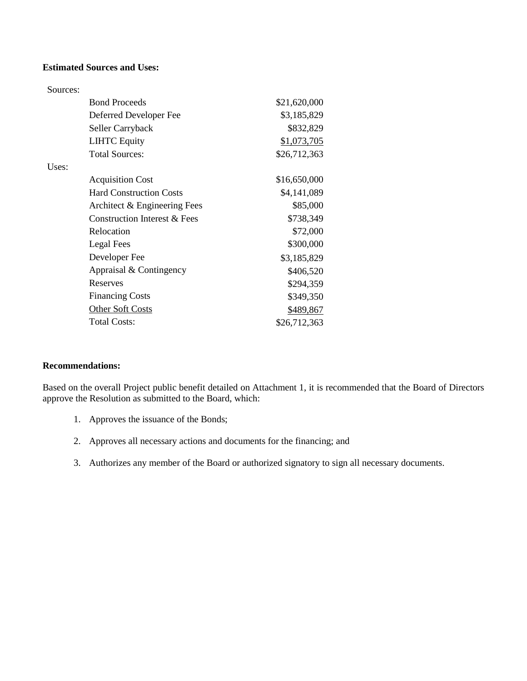#### **Estimated Sources and Uses:**

| Sources: |                                |              |
|----------|--------------------------------|--------------|
|          | <b>Bond Proceeds</b>           | \$21,620,000 |
|          | Deferred Developer Fee         | \$3,185,829  |
|          | Seller Carryback               | \$832,829    |
|          | <b>LIHTC Equity</b>            | \$1,073,705  |
|          | <b>Total Sources:</b>          | \$26,712,363 |
| Uses:    |                                |              |
|          | <b>Acquisition Cost</b>        | \$16,650,000 |
|          | <b>Hard Construction Costs</b> | \$4,141,089  |
|          | Architect & Engineering Fees   | \$85,000     |
|          | Construction Interest & Fees   | \$738,349    |
|          | Relocation                     | \$72,000     |
|          | Legal Fees                     | \$300,000    |
|          | Developer Fee                  | \$3,185,829  |
|          | Appraisal & Contingency        | \$406,520    |
|          | Reserves                       | \$294,359    |
|          | <b>Financing Costs</b>         | \$349,350    |
|          | <b>Other Soft Costs</b>        | \$489,867    |
|          | <b>Total Costs:</b>            | \$26,712,363 |

#### **Recommendations:**

Based on the overall Project public benefit detailed on Attachment 1, it is recommended that the Board of Directors approve the Resolution as submitted to the Board, which:

- 1. Approves the issuance of the Bonds;
- 2. Approves all necessary actions and documents for the financing; and
- 3. Authorizes any member of the Board or authorized signatory to sign all necessary documents.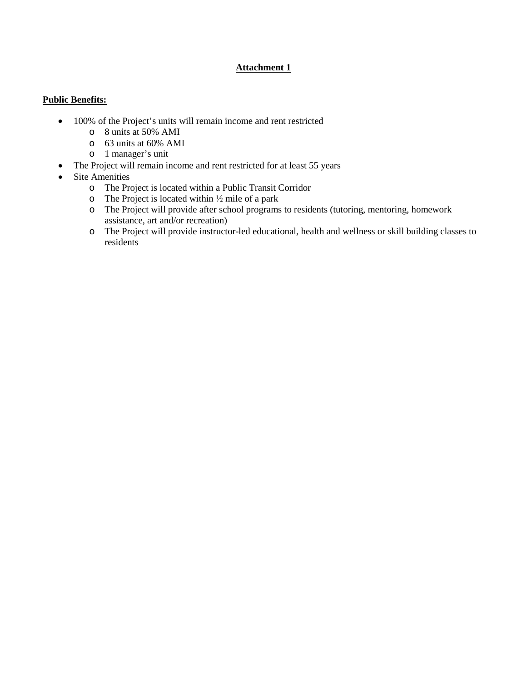#### **Attachment 1**

#### **Public Benefits:**

- 100% of the Project's units will remain income and rent restricted
	- o 8 units at 50% AMI
	- o 63 units at 60% AMI
	- o 1 manager's unit
- The Project will remain income and rent restricted for at least 55 years
- Site Amenities
	- o The Project is located within a Public Transit Corridor
	- $\circ$  The Project is located within  $\frac{1}{2}$  mile of a park
	- o The Project will provide after school programs to residents (tutoring, mentoring, homework assistance, art and/or recreation)
	- o The Project will provide instructor-led educational, health and wellness or skill building classes to residents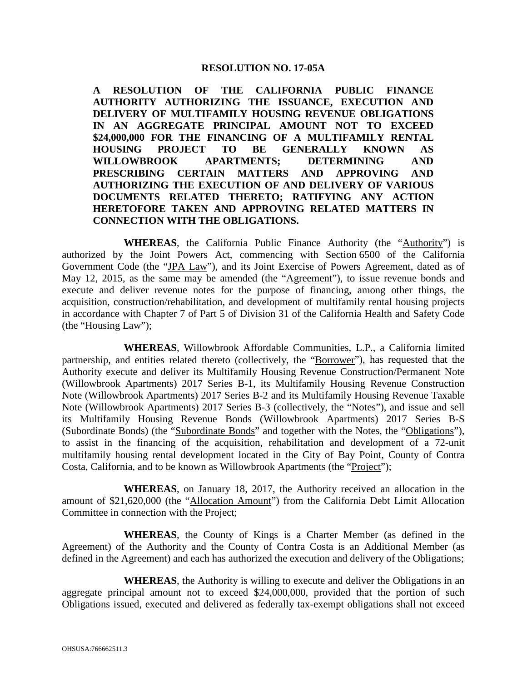#### **RESOLUTION NO. 17-05A**

**A RESOLUTION OF THE CALIFORNIA PUBLIC FINANCE AUTHORITY AUTHORIZING THE ISSUANCE, EXECUTION AND DELIVERY OF MULTIFAMILY HOUSING REVENUE OBLIGATIONS IN AN AGGREGATE PRINCIPAL AMOUNT NOT TO EXCEED \$24,000,000 FOR THE FINANCING OF A MULTIFAMILY RENTAL HOUSING PROJECT TO BE GENERALLY KNOWN AS WILLOWBROOK APARTMENTS; DETERMINING AND PRESCRIBING CERTAIN MATTERS AND APPROVING AND AUTHORIZING THE EXECUTION OF AND DELIVERY OF VARIOUS DOCUMENTS RELATED THERETO; RATIFYING ANY ACTION HERETOFORE TAKEN AND APPROVING RELATED MATTERS IN CONNECTION WITH THE OBLIGATIONS.**

**WHEREAS**, the California Public Finance Authority (the "Authority") is authorized by the Joint Powers Act, commencing with Section 6500 of the California Government Code (the "JPA Law"), and its Joint Exercise of Powers Agreement, dated as of May 12, 2015, as the same may be amended (the "Agreement"), to issue revenue bonds and execute and deliver revenue notes for the purpose of financing, among other things, the acquisition, construction/rehabilitation, and development of multifamily rental housing projects in accordance with Chapter 7 of Part 5 of Division 31 of the California Health and Safety Code (the "Housing Law");

**WHEREAS**, Willowbrook Affordable Communities, L.P., a California limited partnership, and entities related thereto (collectively, the "Borrower"), has requested that the Authority execute and deliver its Multifamily Housing Revenue Construction/Permanent Note (Willowbrook Apartments) 2017 Series B-1, its Multifamily Housing Revenue Construction Note (Willowbrook Apartments) 2017 Series B-2 and its Multifamily Housing Revenue Taxable Note (Willowbrook Apartments) 2017 Series B-3 (collectively, the "Notes"), and issue and sell its Multifamily Housing Revenue Bonds (Willowbrook Apartments) 2017 Series B-S (Subordinate Bonds) (the "Subordinate Bonds" and together with the Notes, the "Obligations"), to assist in the financing of the acquisition, rehabilitation and development of a 72-unit multifamily housing rental development located in the City of Bay Point, County of Contra Costa, California, and to be known as Willowbrook Apartments (the "Project");

**WHEREAS**, on January 18, 2017, the Authority received an allocation in the amount of \$21,620,000 (the "Allocation Amount") from the California Debt Limit Allocation Committee in connection with the Project;

**WHEREAS**, the County of Kings is a Charter Member (as defined in the Agreement) of the Authority and the County of Contra Costa is an Additional Member (as defined in the Agreement) and each has authorized the execution and delivery of the Obligations;

**WHEREAS**, the Authority is willing to execute and deliver the Obligations in an aggregate principal amount not to exceed \$24,000,000, provided that the portion of such Obligations issued, executed and delivered as federally tax-exempt obligations shall not exceed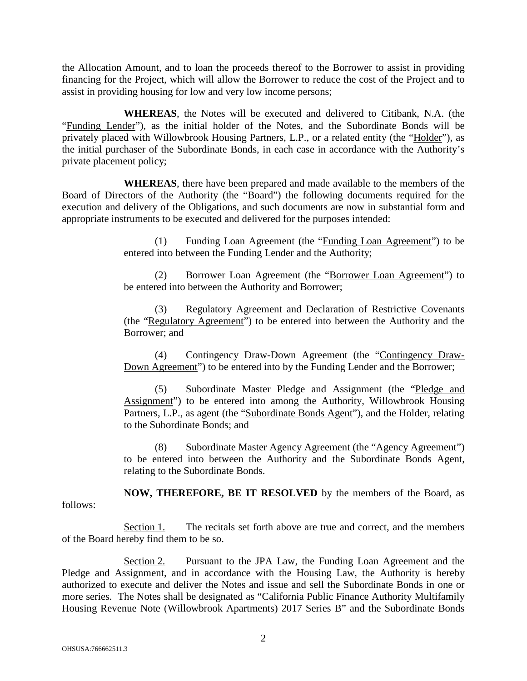the Allocation Amount, and to loan the proceeds thereof to the Borrower to assist in providing financing for the Project, which will allow the Borrower to reduce the cost of the Project and to assist in providing housing for low and very low income persons;

**WHEREAS**, the Notes will be executed and delivered to Citibank, N.A. (the "Funding Lender"), as the initial holder of the Notes, and the Subordinate Bonds will be privately placed with Willowbrook Housing Partners, L.P., or a related entity (the "Holder"), as the initial purchaser of the Subordinate Bonds, in each case in accordance with the Authority's private placement policy;

**WHEREAS**, there have been prepared and made available to the members of the Board of Directors of the Authority (the "Board") the following documents required for the execution and delivery of the Obligations, and such documents are now in substantial form and appropriate instruments to be executed and delivered for the purposes intended:

> (1) Funding Loan Agreement (the "Funding Loan Agreement") to be entered into between the Funding Lender and the Authority;

> (2) Borrower Loan Agreement (the "Borrower Loan Agreement") to be entered into between the Authority and Borrower;

> (3) Regulatory Agreement and Declaration of Restrictive Covenants (the "Regulatory Agreement") to be entered into between the Authority and the Borrower; and

> (4) Contingency Draw-Down Agreement (the "Contingency Draw-Down Agreement") to be entered into by the Funding Lender and the Borrower;

> (5) Subordinate Master Pledge and Assignment (the "Pledge and Assignment") to be entered into among the Authority, Willowbrook Housing Partners, L.P., as agent (the "Subordinate Bonds Agent"), and the Holder, relating to the Subordinate Bonds; and

> (8) Subordinate Master Agency Agreement (the "Agency Agreement") to be entered into between the Authority and the Subordinate Bonds Agent, relating to the Subordinate Bonds.

**NOW, THEREFORE, BE IT RESOLVED** by the members of the Board, as follows:

Section 1. The recitals set forth above are true and correct, and the members of the Board hereby find them to be so.

Section 2. Pursuant to the JPA Law, the Funding Loan Agreement and the Pledge and Assignment, and in accordance with the Housing Law, the Authority is hereby authorized to execute and deliver the Notes and issue and sell the Subordinate Bonds in one or more series. The Notes shall be designated as "California Public Finance Authority Multifamily Housing Revenue Note (Willowbrook Apartments) 2017 Series B" and the Subordinate Bonds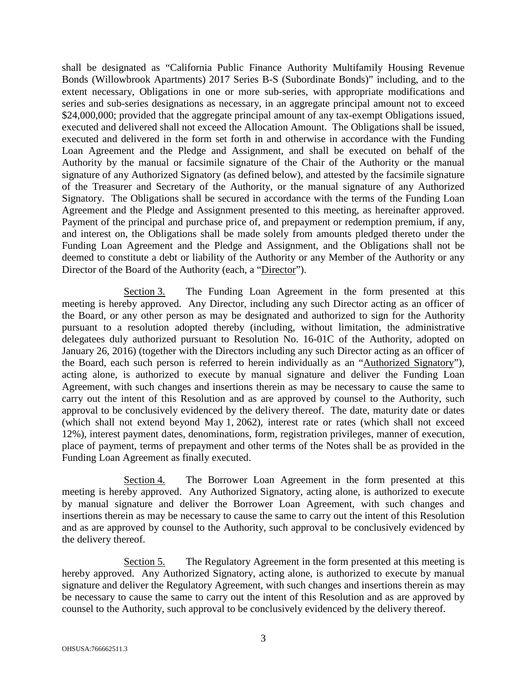shall be designated as "California Public Finance Authority Multifamily Housing Revenue Bonds (Willowbrook Apartments) 2017 Series B-S (Subordinate Bonds)" including, and to the extent necessary, Obligations in one or more sub-series, with appropriate modifications and series and sub-series designations as necessary, in an aggregate principal amount not to exceed \$24,000,000; provided that the aggregate principal amount of any tax-exempt Obligations issued, executed and delivered shall not exceed the Allocation Amount. The Obligations shall be issued, executed and delivered in the form set forth in and otherwise in accordance with the Funding Loan Agreement and the Pledge and Assignment, and shall be executed on behalf of the Authority by the manual or facsimile signature of the Chair of the Authority or the manual signature of any Authorized Signatory (as defined below), and attested by the facsimile signature of the Treasurer and Secretary of the Authority, or the manual signature of any Authorized Signatory. The Obligations shall be secured in accordance with the terms of the Funding Loan Agreement and the Pledge and Assignment presented to this meeting, as hereinafter approved. Payment of the principal and purchase price of, and prepayment or redemption premium, if any, and interest on, the Obligations shall be made solely from amounts pledged thereto under the Funding Loan Agreement and the Pledge and Assignment, and the Obligations shall not be deemed to constitute a debt or liability of the Authority or any Member of the Authority or any Director of the Board of the Authority (each, a "Director").

Section 3. The Funding Loan Agreement in the form presented at this meeting is hereby approved. Any Director, including any such Director acting as an officer of the Board, or any other person as may be designated and authorized to sign for the Authority pursuant to a resolution adopted thereby (including, without limitation, the administrative delegatees duly authorized pursuant to Resolution No. 16-01C of the Authority, adopted on January 26, 2016) (together with the Directors including any such Director acting as an officer of the Board, each such person is referred to herein individually as an "Authorized Signatory"), acting alone, is authorized to execute by manual signature and deliver the Funding Loan Agreement, with such changes and insertions therein as may be necessary to cause the same to carry out the intent of this Resolution and as are approved by counsel to the Authority, such approval to be conclusively evidenced by the delivery thereof. The date, maturity date or dates (which shall not extend beyond May 1, 2062), interest rate or rates (which shall not exceed 12%), interest payment dates, denominations, form, registration privileges, manner of execution, place of payment, terms of prepayment and other terms of the Notes shall be as provided in the Funding Loan Agreement as finally executed.

Section 4. The Borrower Loan Agreement in the form presented at this meeting is hereby approved. Any Authorized Signatory, acting alone, is authorized to execute by manual signature and deliver the Borrower Loan Agreement, with such changes and insertions therein as may be necessary to cause the same to carry out the intent of this Resolution and as are approved by counsel to the Authority, such approval to be conclusively evidenced by the delivery thereof.

Section 5. The Regulatory Agreement in the form presented at this meeting is hereby approved. Any Authorized Signatory, acting alone, is authorized to execute by manual signature and deliver the Regulatory Agreement, with such changes and insertions therein as may be necessary to cause the same to carry out the intent of this Resolution and as are approved by counsel to the Authority, such approval to be conclusively evidenced by the delivery thereof.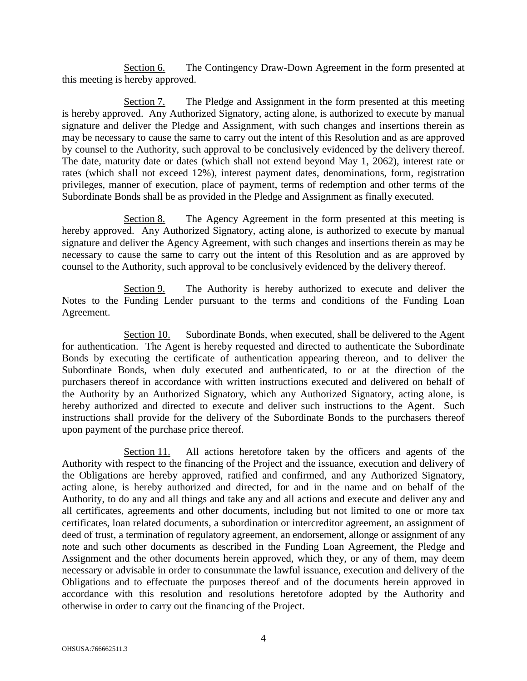Section 6. The Contingency Draw-Down Agreement in the form presented at this meeting is hereby approved.

Section 7. The Pledge and Assignment in the form presented at this meeting is hereby approved. Any Authorized Signatory, acting alone, is authorized to execute by manual signature and deliver the Pledge and Assignment, with such changes and insertions therein as may be necessary to cause the same to carry out the intent of this Resolution and as are approved by counsel to the Authority, such approval to be conclusively evidenced by the delivery thereof. The date, maturity date or dates (which shall not extend beyond May 1, 2062), interest rate or rates (which shall not exceed 12%), interest payment dates, denominations, form, registration privileges, manner of execution, place of payment, terms of redemption and other terms of the Subordinate Bonds shall be as provided in the Pledge and Assignment as finally executed.

Section 8. The Agency Agreement in the form presented at this meeting is hereby approved. Any Authorized Signatory, acting alone, is authorized to execute by manual signature and deliver the Agency Agreement, with such changes and insertions therein as may be necessary to cause the same to carry out the intent of this Resolution and as are approved by counsel to the Authority, such approval to be conclusively evidenced by the delivery thereof.

Section 9. The Authority is hereby authorized to execute and deliver the Notes to the Funding Lender pursuant to the terms and conditions of the Funding Loan Agreement.

Section 10. Subordinate Bonds, when executed, shall be delivered to the Agent for authentication. The Agent is hereby requested and directed to authenticate the Subordinate Bonds by executing the certificate of authentication appearing thereon, and to deliver the Subordinate Bonds, when duly executed and authenticated, to or at the direction of the purchasers thereof in accordance with written instructions executed and delivered on behalf of the Authority by an Authorized Signatory, which any Authorized Signatory, acting alone, is hereby authorized and directed to execute and deliver such instructions to the Agent. Such instructions shall provide for the delivery of the Subordinate Bonds to the purchasers thereof upon payment of the purchase price thereof.

Section 11. All actions heretofore taken by the officers and agents of the Authority with respect to the financing of the Project and the issuance, execution and delivery of the Obligations are hereby approved, ratified and confirmed, and any Authorized Signatory, acting alone, is hereby authorized and directed, for and in the name and on behalf of the Authority, to do any and all things and take any and all actions and execute and deliver any and all certificates, agreements and other documents, including but not limited to one or more tax certificates, loan related documents, a subordination or intercreditor agreement, an assignment of deed of trust, a termination of regulatory agreement, an endorsement, allonge or assignment of any note and such other documents as described in the Funding Loan Agreement, the Pledge and Assignment and the other documents herein approved, which they, or any of them, may deem necessary or advisable in order to consummate the lawful issuance, execution and delivery of the Obligations and to effectuate the purposes thereof and of the documents herein approved in accordance with this resolution and resolutions heretofore adopted by the Authority and otherwise in order to carry out the financing of the Project.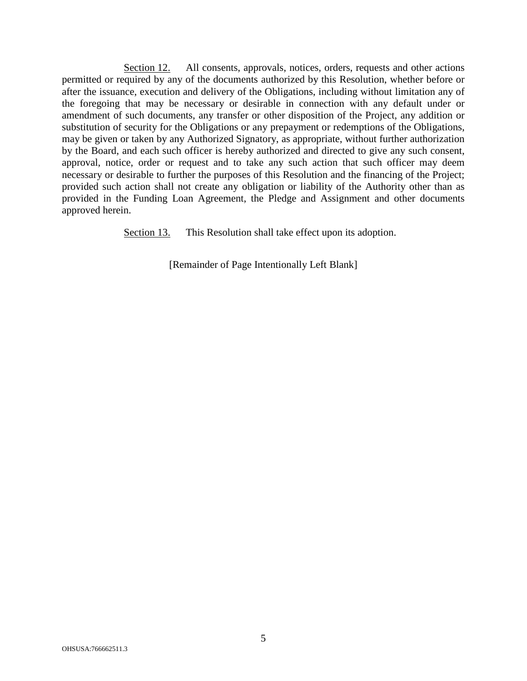Section 12. All consents, approvals, notices, orders, requests and other actions permitted or required by any of the documents authorized by this Resolution, whether before or after the issuance, execution and delivery of the Obligations, including without limitation any of the foregoing that may be necessary or desirable in connection with any default under or amendment of such documents, any transfer or other disposition of the Project, any addition or substitution of security for the Obligations or any prepayment or redemptions of the Obligations, may be given or taken by any Authorized Signatory, as appropriate, without further authorization by the Board, and each such officer is hereby authorized and directed to give any such consent, approval, notice, order or request and to take any such action that such officer may deem necessary or desirable to further the purposes of this Resolution and the financing of the Project; provided such action shall not create any obligation or liability of the Authority other than as provided in the Funding Loan Agreement, the Pledge and Assignment and other documents approved herein.

Section 13. This Resolution shall take effect upon its adoption.

[Remainder of Page Intentionally Left Blank]